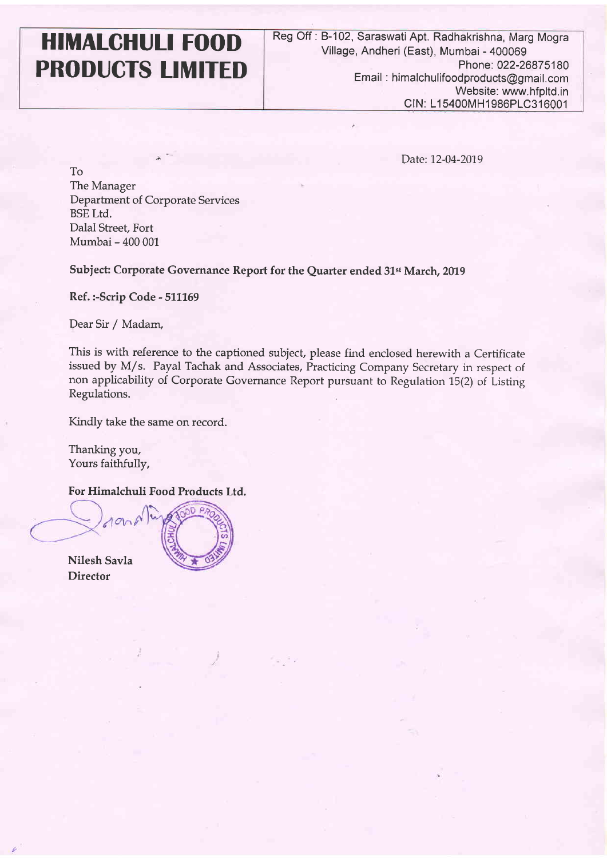## **HlMALGHULl FOOD PRODUCTS LIMITED**

Date: 12-04-2019

To The Manager Department of Corporate Services BSE Ltd. Dalal Street, Fort Mumbai - 400 001

\* **I.** 

Subject: Corporate Governance Report for the Quarter ended 31st March, 2019

Ref. :-Scrip Code - 511169

**4** Dear Sir / Madam,

This is with reference to the captioned subject, please find enclosed herewith a Certificate issued by M/s. Payal Tachak and Associates, Practicing Company Secretary in respect of non applicability of Corporate Governance Report pursuant to Regulation 15(2) of Listing Regulations.

Kindly take the same on record.

Thanking you, Yours faithfully,

For Himalchuli Food Products Ltd.

- Nilesh Savla **Director**